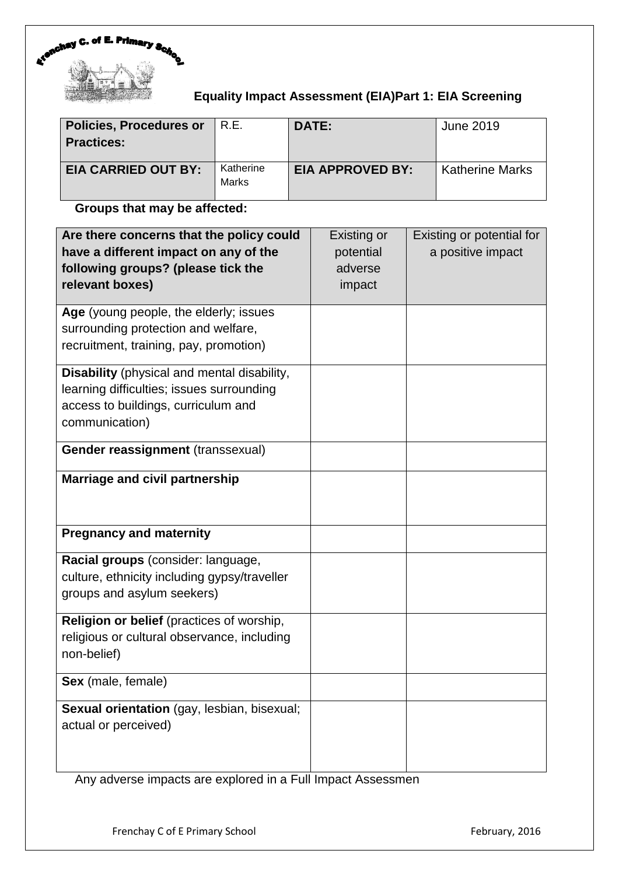

# **Equality Impact Assessment (EIA)Part 1: EIA Screening**

| <b>Policies, Procedures or</b><br><b>Practices:</b> | R.E.                      | <b>DATE:</b>            | June 2019              |
|-----------------------------------------------------|---------------------------|-------------------------|------------------------|
| <b>EIA CARRIED OUT BY:</b>                          | Katherine<br><b>Marks</b> | <b>EIA APPROVED BY:</b> | <b>Katherine Marks</b> |

## **Groups that may be affected:**

| Are there concerns that the policy could<br>have a different impact on any of the<br>following groups? (please tick the<br>relevant boxes)        | Existing or<br>potential<br>adverse<br>impact | Existing or potential for<br>a positive impact |
|---------------------------------------------------------------------------------------------------------------------------------------------------|-----------------------------------------------|------------------------------------------------|
| Age (young people, the elderly; issues<br>surrounding protection and welfare,<br>recruitment, training, pay, promotion)                           |                                               |                                                |
| Disability (physical and mental disability,<br>learning difficulties; issues surrounding<br>access to buildings, curriculum and<br>communication) |                                               |                                                |
| Gender reassignment (transsexual)                                                                                                                 |                                               |                                                |
| <b>Marriage and civil partnership</b>                                                                                                             |                                               |                                                |
| <b>Pregnancy and maternity</b>                                                                                                                    |                                               |                                                |
| Racial groups (consider: language,<br>culture, ethnicity including gypsy/traveller<br>groups and asylum seekers)                                  |                                               |                                                |
| Religion or belief (practices of worship,<br>religious or cultural observance, including<br>non-belief)                                           |                                               |                                                |
| Sex (male, female)                                                                                                                                |                                               |                                                |
| Sexual orientation (gay, lesbian, bisexual;<br>actual or perceived)                                                                               |                                               |                                                |

Any adverse impacts are explored in a Full Impact Assessmen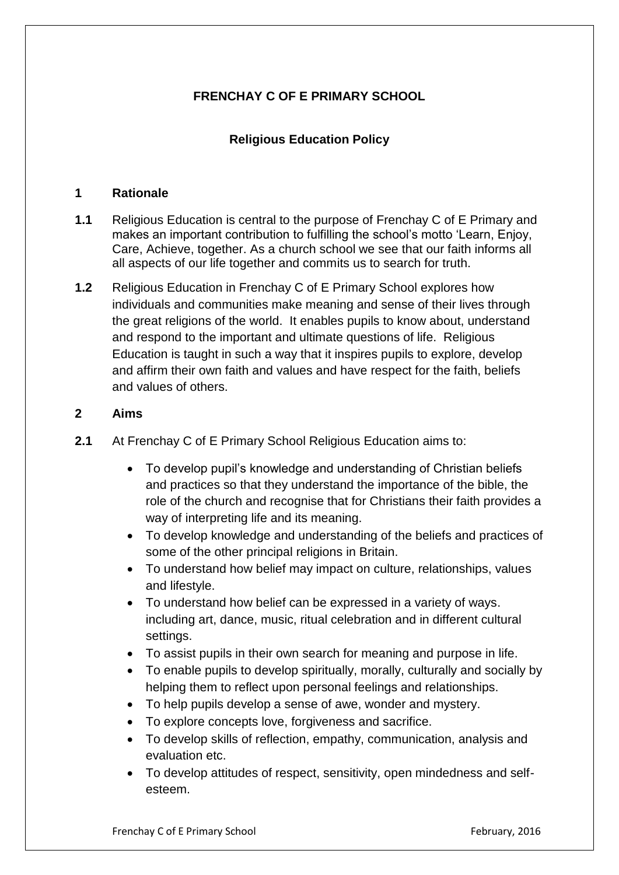# **FRENCHAY C OF E PRIMARY SCHOOL**

# **Religious Education Policy**

#### **1 Rationale**

- **1.1** Religious Education is central to the purpose of Frenchay C of E Primary and makes an important contribution to fulfilling the school's motto 'Learn, Enjoy, Care, Achieve, together. As a church school we see that our faith informs all all aspects of our life together and commits us to search for truth.
- **1.2** Religious Education in Frenchay C of E Primary School explores how individuals and communities make meaning and sense of their lives through the great religions of the world. It enables pupils to know about, understand and respond to the important and ultimate questions of life. Religious Education is taught in such a way that it inspires pupils to explore, develop and affirm their own faith and values and have respect for the faith, beliefs and values of others.

#### **2 Aims**

- **2.1** At Frenchay C of E Primary School Religious Education aims to:
	- To develop pupil's knowledge and understanding of Christian beliefs and practices so that they understand the importance of the bible, the role of the church and recognise that for Christians their faith provides a way of interpreting life and its meaning.
	- To develop knowledge and understanding of the beliefs and practices of some of the other principal religions in Britain.
	- To understand how belief may impact on culture, relationships, values and lifestyle.
	- To understand how belief can be expressed in a variety of ways. including art, dance, music, ritual celebration and in different cultural settings.
	- To assist pupils in their own search for meaning and purpose in life.
	- To enable pupils to develop spiritually, morally, culturally and socially by helping them to reflect upon personal feelings and relationships.
	- To help pupils develop a sense of awe, wonder and mystery.
	- To explore concepts love, forgiveness and sacrifice.
	- To develop skills of reflection, empathy, communication, analysis and evaluation etc.
	- To develop attitudes of respect, sensitivity, open mindedness and selfesteem.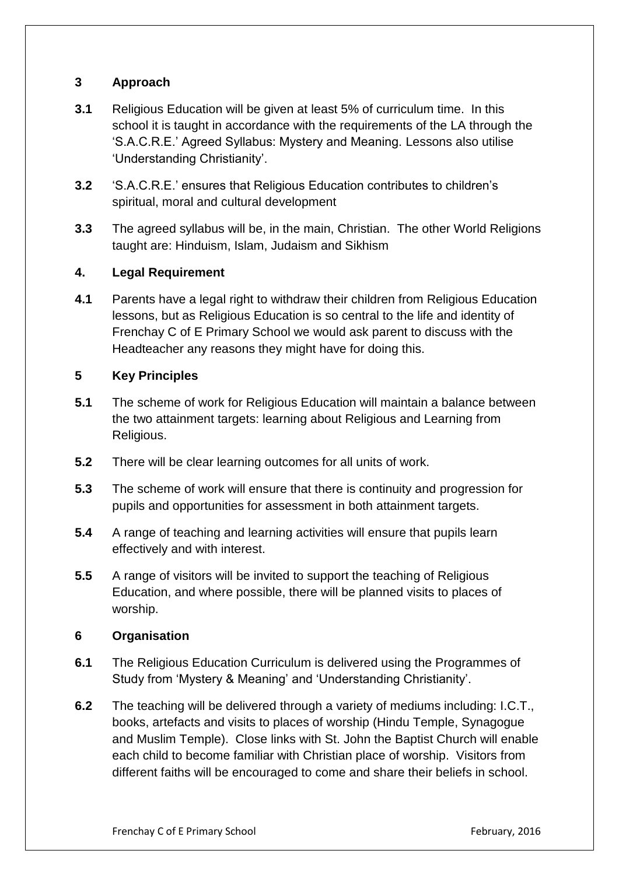## **3 Approach**

- **3.1** Religious Education will be given at least 5% of curriculum time. In this school it is taught in accordance with the requirements of the LA through the 'S.A.C.R.E.' Agreed Syllabus: Mystery and Meaning. Lessons also utilise 'Understanding Christianity'.
- **3.2** 'S.A.C.R.E.' ensures that Religious Education contributes to children's spiritual, moral and cultural development
- **3.3** The agreed syllabus will be, in the main, Christian. The other World Religions taught are: Hinduism, Islam, Judaism and Sikhism

## **4. Legal Requirement**

**4.1** Parents have a legal right to withdraw their children from Religious Education lessons, but as Religious Education is so central to the life and identity of Frenchay C of E Primary School we would ask parent to discuss with the Headteacher any reasons they might have for doing this.

### **5 Key Principles**

- **5.1** The scheme of work for Religious Education will maintain a balance between the two attainment targets: learning about Religious and Learning from Religious.
- **5.2** There will be clear learning outcomes for all units of work.
- **5.3** The scheme of work will ensure that there is continuity and progression for pupils and opportunities for assessment in both attainment targets.
- **5.4** A range of teaching and learning activities will ensure that pupils learn effectively and with interest.
- **5.5** A range of visitors will be invited to support the teaching of Religious Education, and where possible, there will be planned visits to places of worship.

#### **6 Organisation**

- **6.1** The Religious Education Curriculum is delivered using the Programmes of Study from 'Mystery & Meaning' and 'Understanding Christianity'.
- **6.2** The teaching will be delivered through a variety of mediums including: I.C.T., books, artefacts and visits to places of worship (Hindu Temple, Synagogue and Muslim Temple). Close links with St. John the Baptist Church will enable each child to become familiar with Christian place of worship. Visitors from different faiths will be encouraged to come and share their beliefs in school.